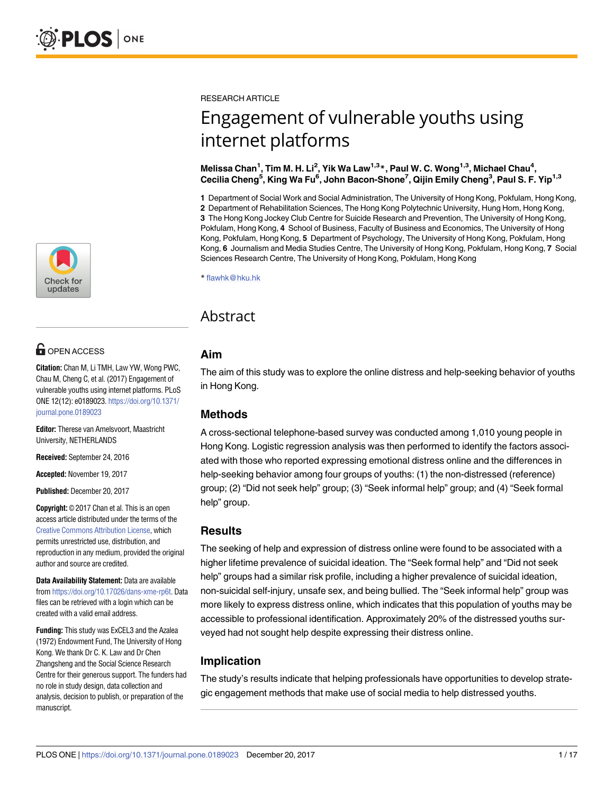

## **OPEN ACCESS**

**Citation:** Chan M, Li TMH, Law YW, Wong PWC, Chau M, Cheng C, et al. (2017) Engagement of vulnerable youths using internet platforms. PLoS ONE 12(12): e0189023. [https://doi.org/10.1371/](https://doi.org/10.1371/journal.pone.0189023) [journal.pone.0189023](https://doi.org/10.1371/journal.pone.0189023)

**Editor:** Therese van Amelsvoort, Maastricht University, NETHERLANDS

**Received:** September 24, 2016

**Accepted:** November 19, 2017

**Published:** December 20, 2017

**Copyright:** © 2017 Chan et al. This is an open access article distributed under the terms of the Creative Commons [Attribution](http://creativecommons.org/licenses/by/4.0/) License, which permits unrestricted use, distribution, and reproduction in any medium, provided the original author and source are credited.

**Data Availability Statement:** Data are available from <https://doi.org/10.17026/dans-xme-rp6t>. Data files can be retrieved with a login which can be created with a valid email address.

**Funding:** This study was ExCEL3 and the Azalea (1972) Endowment Fund, The University of Hong Kong. We thank Dr C. K. Law and Dr Chen Zhangsheng and the Social Science Research Centre for their generous support. The funders had no role in study design, data collection and analysis, decision to publish, or preparation of the manuscript.

RESEARCH ARTICLE

# Engagement of vulnerable youths using internet platforms

## **Melissa Chan1 , Tim M. H. Li2 , Yik Wa Law1,3\*, Paul W. C. Wong1,3, Michael Chau4 , Cecilia Cheng5 , King Wa Fu6 , John Bacon-Shone7 , Qijin Emily Cheng3 , Paul S. F. Yip1,3**

**1** Department of Social Work and Social Administration, The University of Hong Kong, Pokfulam, Hong Kong, **2** Department of Rehabilitation Sciences, The Hong Kong Polytechnic University, Hung Hom, Hong Kong, **3** The Hong Kong Jockey Club Centre for Suicide Research and Prevention, The University of Hong Kong, Pokfulam, Hong Kong, **4** School of Business, Faculty of Business and Economics, The University of Hong Kong, Pokfulam, Hong Kong, **5** Department of Psychology, The University of Hong Kong, Pokfulam, Hong Kong, **6** Journalism and Media Studies Centre, The University of Hong Kong, Pokfulam, Hong Kong, **7** Social Sciences Research Centre, The University of Hong Kong, Pokfulam, Hong Kong

\* flawhk@hku.hk

## Abstract

## **Aim**

The aim of this study was to explore the online distress and help-seeking behavior of youths in Hong Kong.

## **Methods**

A cross-sectional telephone-based survey was conducted among 1,010 young people in Hong Kong. Logistic regression analysis was then performed to identify the factors associated with those who reported expressing emotional distress online and the differences in help-seeking behavior among four groups of youths: (1) the non-distressed (reference) group; (2) "Did not seek help" group; (3) "Seek informal help" group; and (4) "Seek formal help" group.

## **Results**

The seeking of help and expression of distress online were found to be associated with a higher lifetime prevalence of suicidal ideation. The "Seek formal help" and "Did not seek help" groups had a similar risk profile, including a higher prevalence of suicidal ideation, non-suicidal self-injury, unsafe sex, and being bullied. The "Seek informal help" group was more likely to express distress online, which indicates that this population of youths may be accessible to professional identification. Approximately 20% of the distressed youths surveyed had not sought help despite expressing their distress online.

## **Implication**

The study's results indicate that helping professionals have opportunities to develop strategic engagement methods that make use of social media to help distressed youths.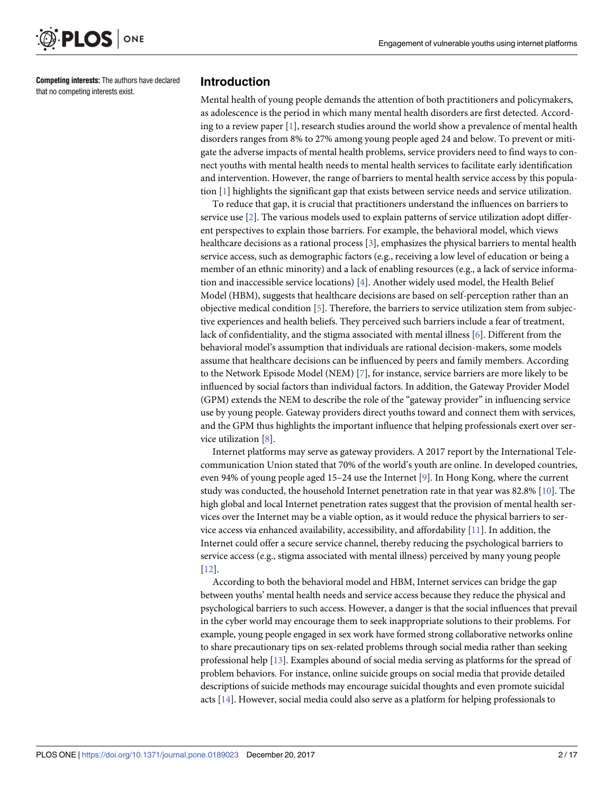**Competing interests:** The authors have declared that no competing interests exist.

<span id="page-1-0"></span>PLOSI

ONE

## **Introduction**

Mental health of young people demands the attention of both practitioners and policymakers, as adolescence is the period in which many mental health disorders are first detected. According to a review paper [\[1\]](#page-14-0), research studies around the world show a prevalence of mental health disorders ranges from 8% to 27% among young people aged 24 and below. To prevent or mitigate the adverse impacts of mental health problems, service providers need to find ways to connect youths with mental health needs to mental health services to facilitate early identification and intervention. However, the range of barriers to mental health service access by this population [[1\]](#page-14-0) highlights the significant gap that exists between service needs and service utilization.

To reduce that gap, it is crucial that practitioners understand the influences on barriers to service use [\[2\]](#page-14-0). The various models used to explain patterns of service utilization adopt different perspectives to explain those barriers. For example, the behavioral model, which views healthcare decisions as a rational process [[3](#page-14-0)], emphasizes the physical barriers to mental health service access, such as demographic factors (e.g., receiving a low level of education or being a member of an ethnic minority) and a lack of enabling resources (e.g., a lack of service information and inaccessible service locations) [\[4\]](#page-15-0). Another widely used model, the Health Belief Model (HBM), suggests that healthcare decisions are based on self-perception rather than an objective medical condition [\[5\]](#page-15-0). Therefore, the barriers to service utilization stem from subjective experiences and health beliefs. They perceived such barriers include a fear of treatment, lack of confidentiality, and the stigma associated with mental illness [\[6\]](#page-15-0). Different from the behavioral model's assumption that individuals are rational decision-makers, some models assume that healthcare decisions can be influenced by peers and family members. According to the Network Episode Model (NEM) [[7\]](#page-15-0), for instance, service barriers are more likely to be influenced by social factors than individual factors. In addition, the Gateway Provider Model (GPM) extends the NEM to describe the role of the "gateway provider" in influencing service use by young people. Gateway providers direct youths toward and connect them with services, and the GPM thus highlights the important influence that helping professionals exert over service utilization [\[8\]](#page-15-0).

Internet platforms may serve as gateway providers. A 2017 report by the International Telecommunication Union stated that 70% of the world's youth are online. In developed countries, even 94% of young people aged 15–24 use the Internet [\[9\]](#page-15-0). In Hong Kong, where the current study was conducted, the household Internet penetration rate in that year was 82.8% [[10\]](#page-15-0). The high global and local Internet penetration rates suggest that the provision of mental health services over the Internet may be a viable option, as it would reduce the physical barriers to service access via enhanced availability, accessibility, and affordability [\[11\]](#page-15-0). In addition, the Internet could offer a secure service channel, thereby reducing the psychological barriers to service access (e.g., stigma associated with mental illness) perceived by many young people [\[12\]](#page-15-0).

According to both the behavioral model and HBM, Internet services can bridge the gap between youths' mental health needs and service access because they reduce the physical and psychological barriers to such access. However, a danger is that the social influences that prevail in the cyber world may encourage them to seek inappropriate solutions to their problems. For example, young people engaged in sex work have formed strong collaborative networks online to share precautionary tips on sex-related problems through social media rather than seeking professional help [[13](#page-15-0)]. Examples abound of social media serving as platforms for the spread of problem behaviors. For instance, online suicide groups on social media that provide detailed descriptions of suicide methods may encourage suicidal thoughts and even promote suicidal acts [[14\]](#page-15-0). However, social media could also serve as a platform for helping professionals to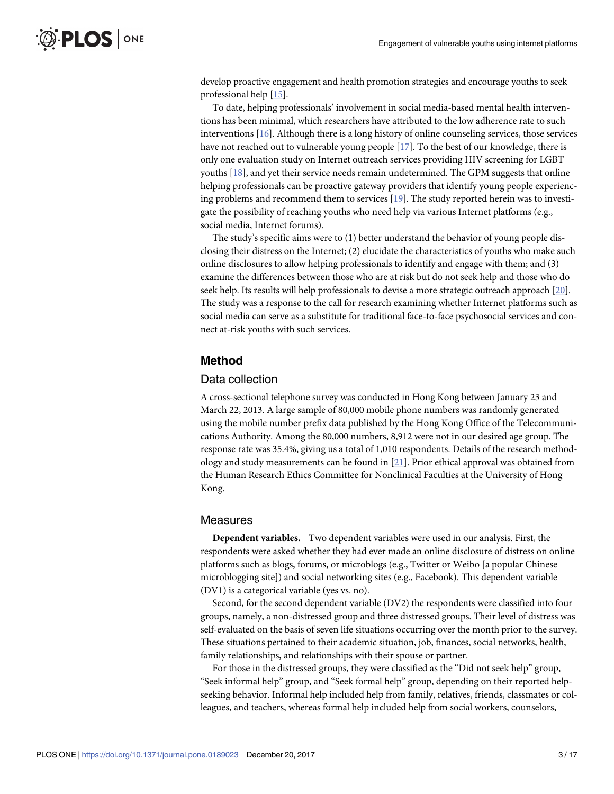<span id="page-2-0"></span>develop proactive engagement and health promotion strategies and encourage youths to seek professional help [[15](#page-15-0)].

To date, helping professionals' involvement in social media-based mental health interventions has been minimal, which researchers have attributed to the low adherence rate to such interventions [[16](#page-15-0)]. Although there is a long history of online counseling services, those services have not reached out to vulnerable young people [[17](#page-15-0)]. To the best of our knowledge, there is only one evaluation study on Internet outreach services providing HIV screening for LGBT youths [\[18\]](#page-15-0), and yet their service needs remain undetermined. The GPM suggests that online helping professionals can be proactive gateway providers that identify young people experiencing problems and recommend them to services [\[19\]](#page-15-0). The study reported herein was to investigate the possibility of reaching youths who need help via various Internet platforms (e.g., social media, Internet forums).

The study's specific aims were to (1) better understand the behavior of young people disclosing their distress on the Internet; (2) elucidate the characteristics of youths who make such online disclosures to allow helping professionals to identify and engage with them; and (3) examine the differences between those who are at risk but do not seek help and those who do seek help. Its results will help professionals to devise a more strategic outreach approach [\[20\]](#page-15-0). The study was a response to the call for research examining whether Internet platforms such as social media can serve as a substitute for traditional face-to-face psychosocial services and connect at-risk youths with such services.

## **Method**

### Data collection

A cross-sectional telephone survey was conducted in Hong Kong between January 23 and March 22, 2013. A large sample of 80,000 mobile phone numbers was randomly generated using the mobile number prefix data published by the Hong Kong Office of the Telecommunications Authority. Among the 80,000 numbers, 8,912 were not in our desired age group. The response rate was 35.4%, giving us a total of 1,010 respondents. Details of the research methodology and study measurements can be found in [\[21\]](#page-15-0). Prior ethical approval was obtained from the Human Research Ethics Committee for Nonclinical Faculties at the University of Hong Kong.

#### Measures

**Dependent variables.** Two dependent variables were used in our analysis. First, the respondents were asked whether they had ever made an online disclosure of distress on online platforms such as blogs, forums, or microblogs (e.g., Twitter or Weibo [a popular Chinese microblogging site]) and social networking sites (e.g., Facebook). This dependent variable (DV1) is a categorical variable (yes vs. no).

Second, for the second dependent variable (DV2) the respondents were classified into four groups, namely, a non-distressed group and three distressed groups. Their level of distress was self-evaluated on the basis of seven life situations occurring over the month prior to the survey. These situations pertained to their academic situation, job, finances, social networks, health, family relationships, and relationships with their spouse or partner.

For those in the distressed groups, they were classified as the "Did not seek help" group, "Seek informal help" group, and "Seek formal help" group, depending on their reported helpseeking behavior. Informal help included help from family, relatives, friends, classmates or colleagues, and teachers, whereas formal help included help from social workers, counselors,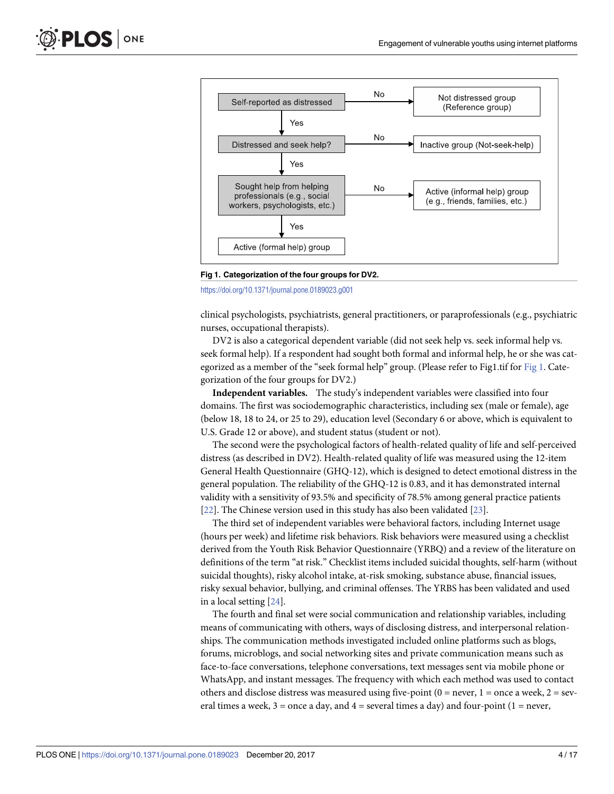<span id="page-3-0"></span>

**Fig 1. Categorization of the four groups for DV2.**

<https://doi.org/10.1371/journal.pone.0189023.g001>

clinical psychologists, psychiatrists, general practitioners, or paraprofessionals (e.g., psychiatric nurses, occupational therapists).

DV2 is also a categorical dependent variable (did not seek help vs. seek informal help vs. seek formal help). If a respondent had sought both formal and informal help, he or she was categorized as a member of the "seek formal help" group. (Please refer to Fig1.tif for Fig 1. Categorization of the four groups for DV2.)

**Independent variables.** The study's independent variables were classified into four domains. The first was sociodemographic characteristics, including sex (male or female), age (below 18, 18 to 24, or 25 to 29), education level (Secondary 6 or above, which is equivalent to U.S. Grade 12 or above), and student status (student or not).

The second were the psychological factors of health-related quality of life and self-perceived distress (as described in DV2). Health-related quality of life was measured using the 12-item General Health Questionnaire (GHQ-12), which is designed to detect emotional distress in the general population. The reliability of the GHQ-12 is 0.83, and it has demonstrated internal validity with a sensitivity of 93.5% and specificity of 78.5% among general practice patients [\[22\]](#page-15-0). The Chinese version used in this study has also been validated [\[23\]](#page-15-0).

The third set of independent variables were behavioral factors, including Internet usage (hours per week) and lifetime risk behaviors. Risk behaviors were measured using a checklist derived from the Youth Risk Behavior Questionnaire (YRBQ) and a review of the literature on definitions of the term "at risk." Checklist items included suicidal thoughts, self-harm (without suicidal thoughts), risky alcohol intake, at-risk smoking, substance abuse, financial issues, risky sexual behavior, bullying, and criminal offenses. The YRBS has been validated and used in a local setting [[24](#page-15-0)].

The fourth and final set were social communication and relationship variables, including means of communicating with others, ways of disclosing distress, and interpersonal relationships. The communication methods investigated included online platforms such as blogs, forums, microblogs, and social networking sites and private communication means such as face-to-face conversations, telephone conversations, text messages sent via mobile phone or WhatsApp, and instant messages. The frequency with which each method was used to contact others and disclose distress was measured using five-point  $(0 = never, 1 = once a week, 2 = sev$ eral times a week,  $3 =$  once a day, and  $4 =$  several times a day) and four-point  $(1 =$  never,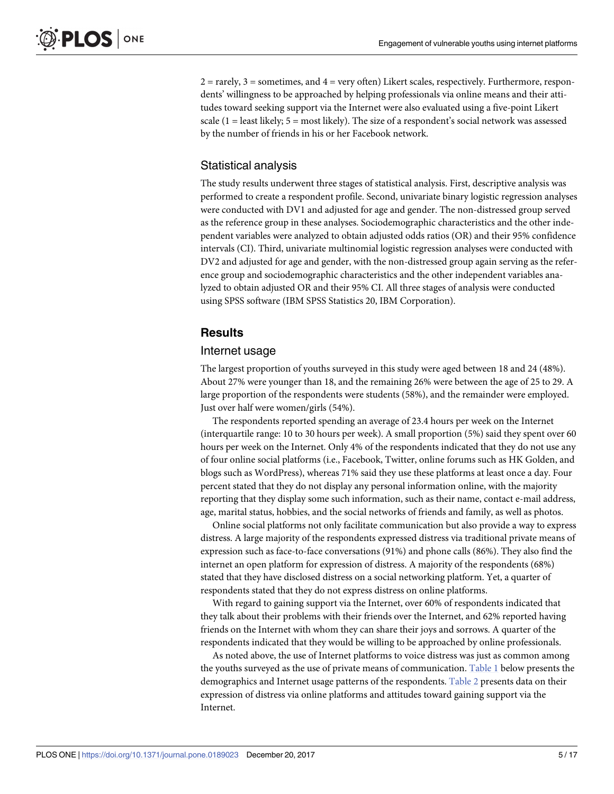<span id="page-4-0"></span> $2 =$  rarely,  $3 =$  sometimes, and  $4 =$  very often) Likert scales, respectively. Furthermore, respondents' willingness to be approached by helping professionals via online means and their attitudes toward seeking support via the Internet were also evaluated using a five-point Likert scale  $(1 =$  least likely;  $5 =$  most likely). The size of a respondent's social network was assessed by the number of friends in his or her Facebook network.

## Statistical analysis

The study results underwent three stages of statistical analysis. First, descriptive analysis was performed to create a respondent profile. Second, univariate binary logistic regression analyses were conducted with DV1 and adjusted for age and gender. The non-distressed group served as the reference group in these analyses. Sociodemographic characteristics and the other independent variables were analyzed to obtain adjusted odds ratios (OR) and their 95% confidence intervals (CI). Third, univariate multinomial logistic regression analyses were conducted with DV2 and adjusted for age and gender, with the non-distressed group again serving as the reference group and sociodemographic characteristics and the other independent variables analyzed to obtain adjusted OR and their 95% CI. All three stages of analysis were conducted using SPSS software (IBM SPSS Statistics 20, IBM Corporation).

## **Results**

## Internet usage

The largest proportion of youths surveyed in this study were aged between 18 and 24 (48%). About 27% were younger than 18, and the remaining 26% were between the age of 25 to 29. A large proportion of the respondents were students (58%), and the remainder were employed. Just over half were women/girls (54%).

The respondents reported spending an average of 23.4 hours per week on the Internet (interquartile range: 10 to 30 hours per week). A small proportion (5%) said they spent over 60 hours per week on the Internet. Only 4% of the respondents indicated that they do not use any of four online social platforms (i.e., Facebook, Twitter, online forums such as HK Golden, and blogs such as WordPress), whereas 71% said they use these platforms at least once a day. Four percent stated that they do not display any personal information online, with the majority reporting that they display some such information, such as their name, contact e-mail address, age, marital status, hobbies, and the social networks of friends and family, as well as photos.

Online social platforms not only facilitate communication but also provide a way to express distress. A large majority of the respondents expressed distress via traditional private means of expression such as face-to-face conversations (91%) and phone calls (86%). They also find the internet an open platform for expression of distress. A majority of the respondents (68%) stated that they have disclosed distress on a social networking platform. Yet, a quarter of respondents stated that they do not express distress on online platforms.

With regard to gaining support via the Internet, over 60% of respondents indicated that they talk about their problems with their friends over the Internet, and 62% reported having friends on the Internet with whom they can share their joys and sorrows. A quarter of the respondents indicated that they would be willing to be approached by online professionals.

As noted above, the use of Internet platforms to voice distress was just as common among the youths surveyed as the use of private means of communication. [Table](#page-5-0) 1 below presents the demographics and Internet usage patterns of the respondents. [Table](#page-6-0) 2 presents data on their expression of distress via online platforms and attitudes toward gaining support via the Internet.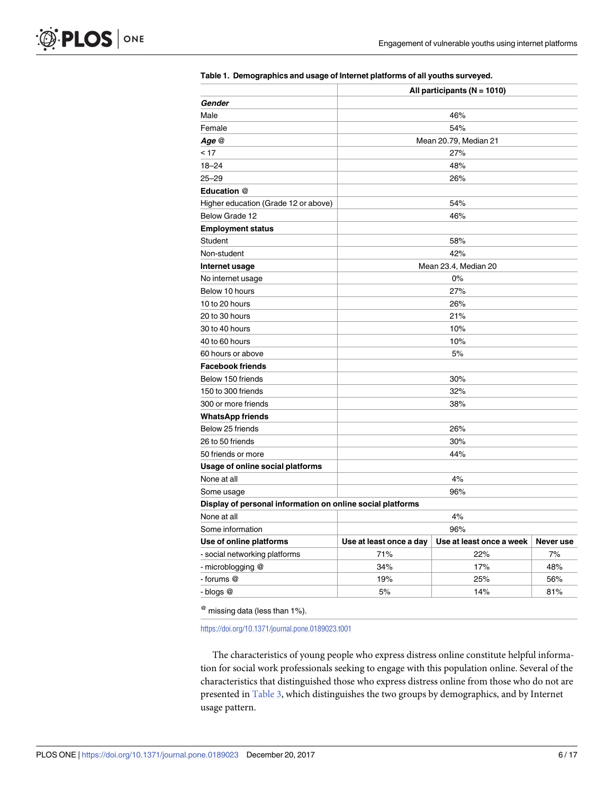<span id="page-5-0"></span>

|                                                            | All participants (N = 1010) |                          |           |  |  |
|------------------------------------------------------------|-----------------------------|--------------------------|-----------|--|--|
| Gender                                                     |                             |                          |           |  |  |
| Male                                                       | 46%                         |                          |           |  |  |
| Female                                                     | 54%                         |                          |           |  |  |
| Age @                                                      |                             | Mean 20.79, Median 21    |           |  |  |
| < 17                                                       |                             | 27%                      |           |  |  |
| $18 - 24$                                                  | 48%                         |                          |           |  |  |
| $25 - 29$                                                  |                             | 26%                      |           |  |  |
| Education @                                                |                             |                          |           |  |  |
| Higher education (Grade 12 or above)                       |                             | 54%                      |           |  |  |
| Below Grade 12                                             |                             | 46%                      |           |  |  |
| <b>Employment status</b>                                   |                             |                          |           |  |  |
| Student                                                    |                             | 58%                      |           |  |  |
| Non-student                                                |                             | 42%                      |           |  |  |
| Internet usage                                             |                             | Mean 23.4, Median 20     |           |  |  |
| No internet usage                                          |                             | 0%                       |           |  |  |
| Below 10 hours                                             |                             | 27%                      |           |  |  |
| 10 to 20 hours                                             |                             | 26%                      |           |  |  |
| 20 to 30 hours                                             | 21%                         |                          |           |  |  |
| 30 to 40 hours                                             | 10%                         |                          |           |  |  |
| 40 to 60 hours                                             | 10%                         |                          |           |  |  |
| 60 hours or above                                          | 5%                          |                          |           |  |  |
| <b>Facebook friends</b>                                    |                             |                          |           |  |  |
| Below 150 friends                                          |                             | 30%                      |           |  |  |
| 150 to 300 friends                                         |                             | 32%                      |           |  |  |
| 300 or more friends                                        |                             | 38%                      |           |  |  |
| <b>WhatsApp friends</b>                                    |                             |                          |           |  |  |
| Below 25 friends                                           |                             | 26%                      |           |  |  |
| 26 to 50 friends                                           |                             | 30%                      |           |  |  |
| 50 friends or more                                         |                             | 44%                      |           |  |  |
| Usage of online social platforms                           |                             |                          |           |  |  |
| None at all                                                |                             | 4%                       |           |  |  |
| Some usage                                                 | 96%                         |                          |           |  |  |
| Display of personal information on online social platforms |                             |                          |           |  |  |
| None at all                                                |                             | 4%                       |           |  |  |
| Some information                                           |                             | 96%                      |           |  |  |
| Use of online platforms                                    | Use at least once a day     | Use at least once a week | Never use |  |  |
| - social networking platforms                              | 71%                         | 22%                      | 7%        |  |  |
| - microblogging @                                          | 34%                         | 17%                      | 48%       |  |  |
| - forums @                                                 | 19%                         | 25%                      | 56%       |  |  |
| - blogs @                                                  | $5%$                        | 14%                      | 81%       |  |  |
|                                                            |                             |                          |           |  |  |

#### **[Table](#page-4-0) 1. Demographics and usage of Internet platforms of all youths surveyed.**

@ missing data (less than 1%).

<https://doi.org/10.1371/journal.pone.0189023.t001>

The characteristics of young people who express distress online constitute helpful information for social work professionals seeking to engage with this population online. Several of the characteristics that distinguished those who express distress online from those who do not are presented in [Table](#page-7-0) 3, which distinguishes the two groups by demographics, and by Internet usage pattern.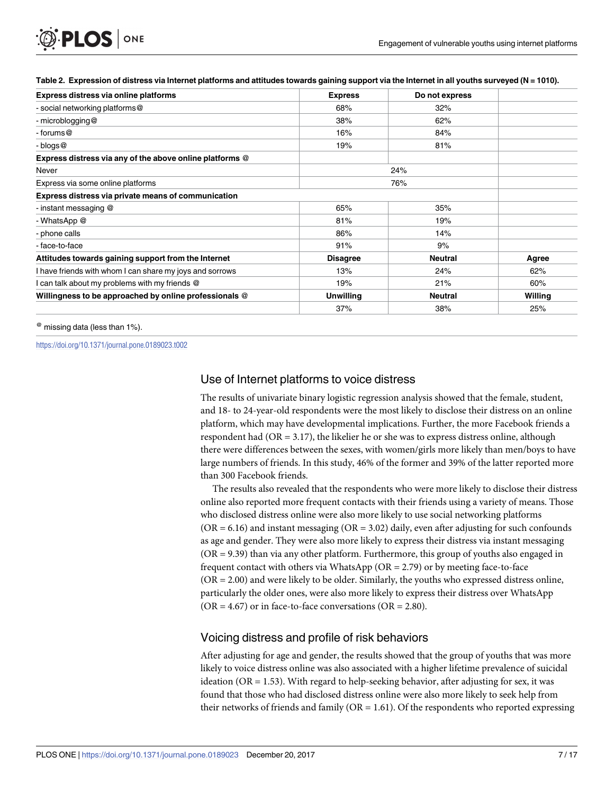| Express distress via online platforms                    | <b>Express</b>   | Do not express |         |
|----------------------------------------------------------|------------------|----------------|---------|
| - social networking platforms@                           | 68%              | 32%            |         |
| - microblogging@                                         | 38%              | 62%            |         |
| - forums@                                                | 16%              | 84%            |         |
| - blogs@                                                 | 19%              | 81%            |         |
| Express distress via any of the above online platforms @ |                  |                |         |
| Never                                                    |                  | 24%            |         |
| Express via some online platforms                        |                  | 76%            |         |
| Express distress via private means of communication      |                  |                |         |
| - instant messaging @                                    | 65%              | 35%            |         |
| - WhatsApp @                                             | 81%              | 19%            |         |
| - phone calls                                            | 86%              | 14%            |         |
| - face-to-face                                           | 91%              | 9%             |         |
| Attitudes towards gaining support from the Internet      | <b>Disagree</b>  | <b>Neutral</b> | Agree   |
| I have friends with whom I can share my joys and sorrows | 13%              | 24%            | 62%     |
| can talk about my problems with my friends @             | 19%              | 21%            | 60%     |
| Willingness to be approached by online professionals @   | <b>Unwilling</b> | <b>Neutral</b> | Willing |
|                                                          | 37%              | 38%            | 25%     |

#### [Table](#page-4-0) 2. Expression of distress via Internet platforms and attitudes towards gaining support via the Internet in all youths surveyed (N = 1010).

 $^{\circledR}$  missing data (less than 1%).

<https://doi.org/10.1371/journal.pone.0189023.t002>

ONE

<span id="page-6-0"></span>PLOS I

## Use of Internet platforms to voice distress

The results of univariate binary logistic regression analysis showed that the female, student, and 18- to 24-year-old respondents were the most likely to disclose their distress on an online platform, which may have developmental implications. Further, the more Facebook friends a respondent had ( $OR = 3.17$ ), the likelier he or she was to express distress online, although there were differences between the sexes, with women/girls more likely than men/boys to have large numbers of friends. In this study, 46% of the former and 39% of the latter reported more than 300 Facebook friends.

The results also revealed that the respondents who were more likely to disclose their distress online also reported more frequent contacts with their friends using a variety of means. Those who disclosed distress online were also more likely to use social networking platforms  $(OR = 6.16)$  and instant messaging  $(OR = 3.02)$  daily, even after adjusting for such confounds as age and gender. They were also more likely to express their distress via instant messaging (OR = 9.39) than via any other platform. Furthermore, this group of youths also engaged in frequent contact with others via WhatsApp ( $OR = 2.79$ ) or by meeting face-to-face  $(OR = 2.00)$  and were likely to be older. Similarly, the youths who expressed distress online, particularly the older ones, were also more likely to express their distress over WhatsApp  $(OR = 4.67)$  or in face-to-face conversations  $(OR = 2.80)$ .

## Voicing distress and profile of risk behaviors

After adjusting for age and gender, the results showed that the group of youths that was more likely to voice distress online was also associated with a higher lifetime prevalence of suicidal ideation ( $OR = 1.53$ ). With regard to help-seeking behavior, after adjusting for sex, it was found that those who had disclosed distress online were also more likely to seek help from their networks of friends and family ( $OR = 1.61$ ). Of the respondents who reported expressing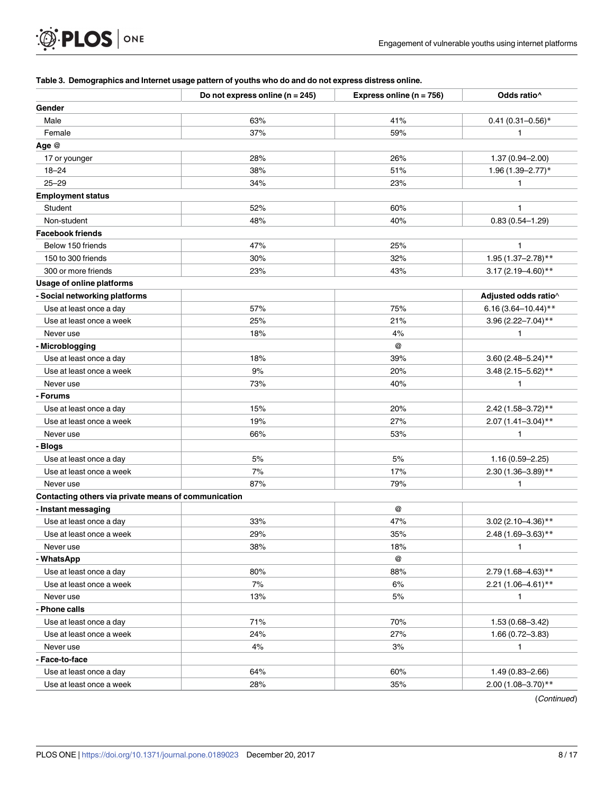#### **[Table](#page-5-0) 3. Demographics and Internet usage pattern of youths who do and do not express distress online.**

<span id="page-7-0"></span>**OF PLOS** ONE

|                                                      | Do not express online ( $n = 245$ ) | Express online ( $n = 756$ ) | Odds ratio <sup>^</sup> |
|------------------------------------------------------|-------------------------------------|------------------------------|-------------------------|
| Gender                                               |                                     |                              |                         |
| Male                                                 | 63%                                 | 41%                          | $0.41(0.31 - 0.56)^*$   |
| Female                                               | 37%                                 | 59%                          | 1                       |
| Age @                                                |                                     |                              |                         |
| 17 or younger                                        | 28%                                 | 26%                          | 1.37 (0.94-2.00)        |
| $18 - 24$                                            | 38%                                 | 51%                          | $1.96(1.39 - 2.77)^*$   |
| $25 - 29$                                            | 34%                                 | 23%                          | 1                       |
| <b>Employment status</b>                             |                                     |                              |                         |
| Student                                              | 52%                                 | 60%                          | 1                       |
| Non-student                                          | 48%                                 | 40%                          | $0.83(0.54 - 1.29)$     |
| <b>Facebook friends</b>                              |                                     |                              |                         |
| Below 150 friends                                    | 47%                                 | 25%                          | $\mathbf{1}$            |
| 150 to 300 friends                                   | 30%                                 | 32%                          | $1.95(1.37 - 2.78)$ **  |
| 300 or more friends                                  | 23%                                 | 43%                          | $3.17(2.19 - 4.60)$ **  |
| <b>Usage of online platforms</b>                     |                                     |                              |                         |
| - Social networking platforms                        |                                     |                              | Adjusted odds ratio^    |
| Use at least once a day                              | 57%                                 | 75%                          | $6.16(3.64 - 10.44)$ ** |
| Use at least once a week                             | 25%                                 | 21%                          | $3.96$ (2.22-7.04)**    |
| Never use                                            | 18%                                 | 4%                           | 1                       |
| - Microblogging                                      |                                     | @                            |                         |
| Use at least once a day                              | 18%                                 | 39%                          | $3.60(2.48 - 5.24)$ **  |
| Use at least once a week                             | 9%                                  | 20%                          | $3.48(2.15 - 5.62)$ **  |
| Never use                                            | 73%                                 | 40%                          | 1                       |
| - Forums                                             |                                     |                              |                         |
| Use at least once a day                              | 15%                                 | 20%                          | 2.42 (1.58-3.72)**      |
| Use at least once a week                             | 19%                                 | 27%                          | $2.07(1.41 - 3.04)$ **  |
| Never use                                            | 66%                                 | 53%                          | 1                       |
| - Blogs                                              |                                     |                              |                         |
| Use at least once a day                              | 5%                                  | 5%                           | $1.16(0.59 - 2.25)$     |
| Use at least once a week                             | 7%                                  | 17%                          | $2.30(1.36 - 3.89)$ **  |
| Never use                                            | 87%                                 | 79%                          | 1                       |
| Contacting others via private means of communication |                                     |                              |                         |
| - Instant messaging                                  |                                     | @                            |                         |
| Use at least once a day                              | 33%                                 | 47%                          | $3.02(2.10-4.36)$ **    |
| Use at least once a week                             | 29%                                 | 35%                          | $2.48(1.69 - 3.63)$ **  |
| Never use                                            | 38%                                 | 18%                          | $\mathbf{1}$            |
| - WhatsApp                                           |                                     | @                            |                         |
| Use at least once a day                              | 80%                                 | 88%                          | $2.79(1.68 - 4.63)$ **  |
| Use at least once a week                             | 7%                                  | 6%                           | $2.21(1.06 - 4.61)$ **  |
| Never use                                            | 13%                                 | 5%                           | 1.                      |
| - Phone calls                                        |                                     |                              |                         |
| Use at least once a day                              | 71%                                 | 70%                          | 1.53 (0.68-3.42)        |
| Use at least once a week                             | 24%                                 | 27%                          | $1.66(0.72 - 3.83)$     |
| Never use                                            | 4%                                  | 3%                           | 1                       |
| - Face-to-face                                       |                                     |                              |                         |
| Use at least once a day                              | 64%                                 | 60%                          | $1.49(0.83 - 2.66)$     |
| Use at least once a week                             | 28%                                 | 35%                          | 2.00 (1.08-3.70)**      |
|                                                      |                                     |                              |                         |

(Continued)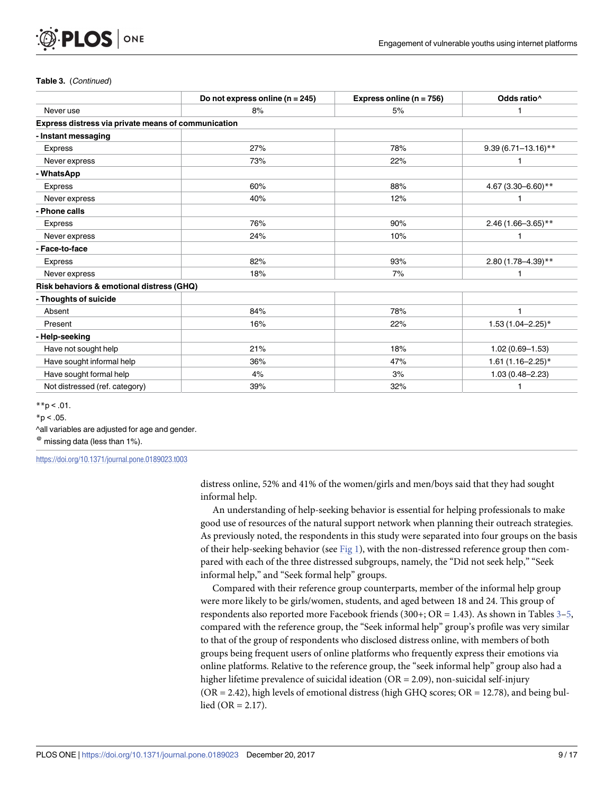#### <span id="page-8-0"></span>**Table 3.** (Continued)

|                                                     | Do not express online ( $n = 245$ ) | Express online ( $n = 756$ ) | Odds ratio^             |  |
|-----------------------------------------------------|-------------------------------------|------------------------------|-------------------------|--|
| Never use                                           | 8%                                  | 5%                           |                         |  |
| Express distress via private means of communication |                                     |                              |                         |  |
| - Instant messaging                                 |                                     |                              |                         |  |
| <b>Express</b>                                      | 27%                                 | 78%                          | $9.39(6.71 - 13.16)$ ** |  |
| Never express                                       | 73%                                 | 22%                          |                         |  |
| - WhatsApp                                          |                                     |                              |                         |  |
| <b>Express</b>                                      | 60%                                 | 88%                          | 4.67 (3.30-6.60)**      |  |
| Never express                                       | 40%                                 | 12%                          |                         |  |
| - Phone calls                                       |                                     |                              |                         |  |
| <b>Express</b>                                      | 76%                                 | 90%                          | 2.46 (1.66-3.65)**      |  |
| Never express                                       | 24%                                 | 10%                          |                         |  |
| - Face-to-face                                      |                                     |                              |                         |  |
| <b>Express</b>                                      | 82%                                 | 93%                          | 2.80 (1.78-4.39)**      |  |
| Never express                                       | 18%                                 | 7%                           |                         |  |
| Risk behaviors & emotional distress (GHQ)           |                                     |                              |                         |  |
| - Thoughts of suicide                               |                                     |                              |                         |  |
| Absent                                              | 84%                                 | 78%                          |                         |  |
| Present                                             | 16%                                 | 22%                          | $1.53(1.04 - 2.25)^*$   |  |
| - Help-seeking                                      |                                     |                              |                         |  |
| Have not sought help                                | 21%                                 | 18%                          | $1.02(0.69 - 1.53)$     |  |
| Have sought informal help                           | 36%                                 | 47%                          | $1.61(1.16 - 2.25)^*$   |  |
| Have sought formal help                             | 4%                                  | 3%                           | $1.03(0.48 - 2.23)$     |  |
| Not distressed (ref. category)                      | 39%                                 | 32%                          |                         |  |

 $*$ <sub>p</sub> < .01.

 $*p < .05$ .

^all variables are adjusted for age and gender.

 $^{\circledR}$  missing data (less than 1%).

<https://doi.org/10.1371/journal.pone.0189023.t003>

distress online, 52% and 41% of the women/girls and men/boys said that they had sought informal help.

An understanding of help-seeking behavior is essential for helping professionals to make good use of resources of the natural support network when planning their outreach strategies. As previously noted, the respondents in this study were separated into four groups on the basis of their help-seeking behavior (see [Fig](#page-3-0) 1), with the non-distressed reference group then compared with each of the three distressed subgroups, namely, the "Did not seek help," "Seek informal help," and "Seek formal help" groups.

Compared with their reference group counterparts, member of the informal help group were more likely to be girls/women, students, and aged between 18 and 24. This group of respondents also reported more Facebook friends (300+; OR = 1.43). As shown in Tables [3–](#page-7-0)[5,](#page-11-0) compared with the reference group, the "Seek informal help" group's profile was very similar to that of the group of respondents who disclosed distress online, with members of both groups being frequent users of online platforms who frequently express their emotions via online platforms. Relative to the reference group, the "seek informal help" group also had a higher lifetime prevalence of suicidal ideation (OR = 2.09), non-suicidal self-injury  $(OR = 2.42)$ , high levels of emotional distress (high GHQ scores;  $OR = 12.78$ ), and being bullied (OR =  $2.17$ ).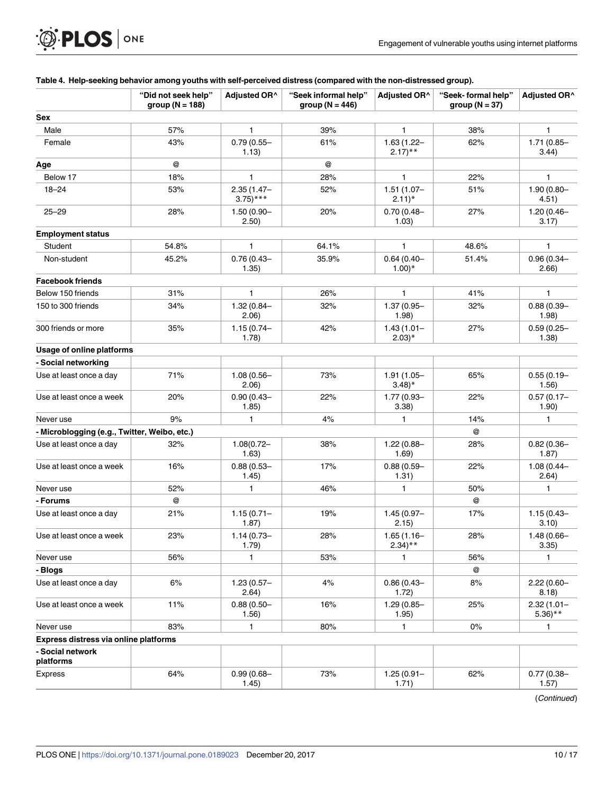<span id="page-9-0"></span>

|                                              | "Did not seek help"<br>group ( $N = 188$ ) | Adjusted OR^                  | "Seek informal help"<br>group ( $N = 446$ ) | Adjusted OR <sup>^</sup>              | "Seek- formal help"<br>group ( $N = 37$ ) | Adjusted OR <sup>^</sup>              |
|----------------------------------------------|--------------------------------------------|-------------------------------|---------------------------------------------|---------------------------------------|-------------------------------------------|---------------------------------------|
| Sex                                          |                                            |                               |                                             |                                       |                                           |                                       |
| Male                                         | 57%                                        | 1                             | 39%                                         | 1                                     | 38%                                       | 1                                     |
| Female                                       | 43%                                        | $0.79(0.55 -$<br>1.13)        | 61%                                         | $1.63(1.22 -$<br>$2.17$ <sup>**</sup> | 62%                                       | $1.71(0.85 -$<br>3.44)                |
| Age                                          | $^\copyright$                              |                               | @                                           |                                       |                                           |                                       |
| Below 17                                     | 18%                                        | 1                             | 28%                                         | 1                                     | 22%                                       | 1                                     |
| $18 - 24$                                    | 53%                                        | $2.35(1.47 -$<br>$(3.75)$ *** | 52%                                         | $1.51(1.07 -$<br>$2.11$ <sup>*</sup>  | 51%                                       | 1.90 (0.80-<br>4.51)                  |
| $25 - 29$                                    | 28%                                        | $1.50(0.90 -$<br>2.50)        | 20%                                         | $0.70(0.48 -$<br>1.03)                | 27%                                       | $1.20(0.46 -$<br>3.17)                |
| <b>Employment status</b>                     |                                            |                               |                                             |                                       |                                           |                                       |
| Student                                      | 54.8%                                      | $\mathbf{1}$                  | 64.1%                                       | $\mathbf{1}$                          | 48.6%                                     | 1                                     |
| Non-student                                  | 45.2%                                      | $0.76(0.43 -$<br>1.35)        | 35.9%                                       | $0.64(0.40 -$<br>$(1.00)*$            | 51.4%                                     | $0.96(0.34 -$<br>(2.66)               |
| Facebook friends                             |                                            |                               |                                             |                                       |                                           |                                       |
| Below 150 friends                            | 31%                                        | 1                             | 26%                                         | 1                                     | 41%                                       | 1                                     |
| 150 to 300 friends                           | 34%                                        | $1.32(0.84 -$<br>2.06)        | 32%                                         | $1.37(0.95 -$<br>1.98)                | 32%                                       | $0.88(0.39 -$<br>1.98)                |
| 300 friends or more                          | 35%                                        | $1.15(0.74 -$<br>1.78)        | 42%                                         | $1.43(1.01 -$<br>$2.03)*$             | 27%                                       | $0.59(0.25 -$<br>1.38)                |
| Usage of online platforms                    |                                            |                               |                                             |                                       |                                           |                                       |
| - Social networking                          |                                            |                               |                                             |                                       |                                           |                                       |
| Use at least once a day                      | 71%                                        | $1.08(0.56 -$<br>2.06)        | 73%                                         | $1.91(1.05 -$<br>$(3.48)^*$           | 65%                                       | $0.55(0.19 -$<br>1.56)                |
| Use at least once a week                     | 20%                                        | $0.90(0.43 -$<br>1.85)        | 22%                                         | $1.77(0.93 -$<br>3.38)                | 22%                                       | $0.57(0.17 -$<br>1.90)                |
| Never use                                    | 9%                                         | $\mathbf{1}$                  | 4%                                          | 1                                     | 14%                                       | 1                                     |
| - Microblogging (e.g., Twitter, Weibo, etc.) |                                            |                               |                                             |                                       | $^{\circledR}$                            |                                       |
| Use at least once a day                      | 32%                                        | $1.08(0.72 -$<br>1.63)        | 38%                                         | $1.22(0.88 -$<br>1.69)                | 28%                                       | $0.82(0.36 -$<br>1.87)                |
| Use at least once a week                     | 16%                                        | $0.88(0.53 -$<br>1.45)        | 17%                                         | $0.88(0.59 -$<br>1.31)                | 22%                                       | $1.08(0.44 -$<br>2.64)                |
| Never use                                    | 52%                                        | 1                             | 46%                                         | 1                                     | 50%                                       | 1                                     |
| - Forums                                     | $^\copyright$                              |                               |                                             |                                       | @                                         |                                       |
| Use at least once a day                      | 21%                                        | $1.15(0.71 -$<br>1.87)        | 19%                                         | $1.45(0.97 -$<br>2.15)                | 17%                                       | $1.15(0.43 -$<br>3.10)                |
| Use at least once a week                     | 23%                                        | $1.14(0.73 -$<br>1.79)        | 28%                                         | $1.65(1.16 -$<br>$2.34$ <sup>**</sup> | 28%                                       | 1.48 (0.66<br>3.35)                   |
| Never use                                    | 56%                                        | $\mathbf{1}$                  | 53%                                         | 1                                     | 56%                                       | $\mathbf{1}$                          |
| - Blogs                                      |                                            |                               |                                             |                                       | @                                         |                                       |
| Use at least once a day                      | 6%                                         | $1.23(0.57 -$<br>2.64)        | 4%                                          | $0.86(0.43 -$<br>1.72)                | 8%                                        | $2.22(0.60 -$<br>8.18)                |
| Use at least once a week                     | 11%                                        | $0.88(0.50 -$<br>1.56)        | 16%                                         | $1.29(0.85 -$<br>1.95)                | 25%                                       | $2.32(1.01 -$<br>$5.36$ <sup>**</sup> |
| Never use                                    | 83%                                        | 1                             | 80%                                         | 1                                     | $0\%$                                     | 1                                     |
| Express distress via online platforms        |                                            |                               |                                             |                                       |                                           |                                       |
| - Social network<br>platforms                |                                            |                               |                                             |                                       |                                           |                                       |
| Express                                      | 64%                                        | $0.99(0.68 -$<br>1.45)        | 73%                                         | $1.25(0.91 -$<br>1.71)                | 62%                                       | $0.77(0.38 -$<br>1.57)                |
|                                              |                                            |                               |                                             |                                       |                                           |                                       |

#### **[Table](#page-12-0) 4. Help-seeking behavior among youths with self-perceived distress (compared with the non-distressed group).**

(Continued)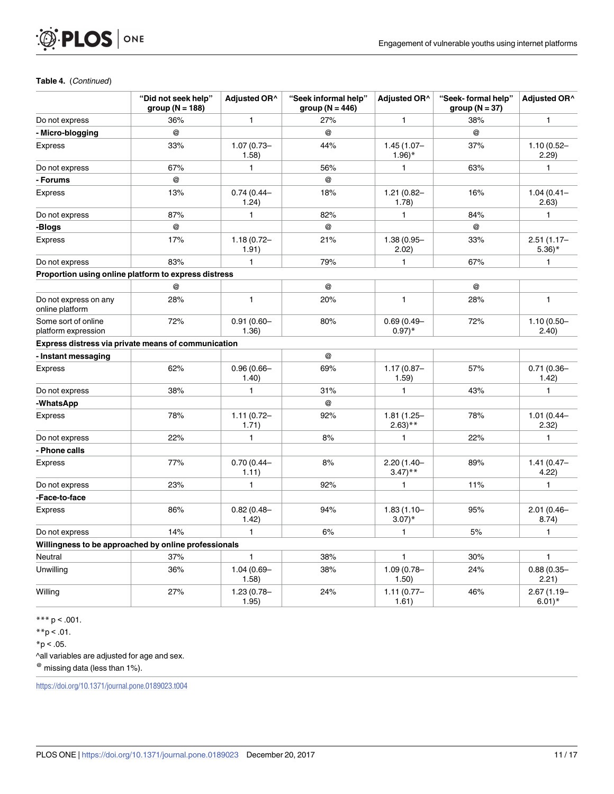#### **Table 4.** (Continued)

|                                                      | "Did not seek help"<br>group ( $N = 188$ ) | Adjusted OR <sup>^</sup> | "Seek informal help"<br>group ( $N = 446$ ) | Adjusted OR^                          | "Seek- formal help"<br>group ( $N = 37$ ) | Adjusted OR^                         |
|------------------------------------------------------|--------------------------------------------|--------------------------|---------------------------------------------|---------------------------------------|-------------------------------------------|--------------------------------------|
| Do not express                                       | 36%                                        | 1                        | 27%                                         | 1                                     | 38%                                       | 1                                    |
| - Micro-blogging                                     | $^\circledR$                               |                          | @                                           |                                       | $^\circledR$                              |                                      |
| Express                                              | 33%                                        | $1.07(0.73 -$<br>1.58)   | 44%                                         | $1.45(1.07 -$<br>$1.96$ <sup>*</sup>  | 37%                                       | $1.10(0.52 -$<br>2.29)               |
| Do not express                                       | 67%                                        | 1                        | 56%                                         | 1                                     | 63%                                       | 1                                    |
| - Forums                                             | $^\circledR$                               |                          | @                                           |                                       |                                           |                                      |
| Express                                              | 13%                                        | $0.74(0.44 -$<br>1.24)   | 18%                                         | $1.21(0.82 -$<br>1.78)                | 16%                                       | $1.04(0.41 -$<br>2.63)               |
| Do not express                                       | 87%                                        | 1                        | 82%                                         | 1                                     | 84%                                       | 1                                    |
| -Blogs                                               | $^{\circledR}$                             |                          | @                                           |                                       | @                                         |                                      |
| Express                                              | 17%                                        | $1.18(0.72 -$<br>1.91)   | 21%                                         | $1.38(0.95 -$<br>2.02)                | 33%                                       | $2.51(1.17-$<br>$5.36$ <sup>*</sup>  |
| Do not express                                       | 83%                                        | 1                        | 79%                                         | 1                                     | 67%                                       | 1                                    |
| Proportion using online platform to express distress |                                            |                          |                                             |                                       |                                           |                                      |
|                                                      | @                                          |                          | $^\copyright$                               |                                       | @                                         |                                      |
| Do not express on any<br>online platform             | 28%                                        | 1                        | 20%                                         | 1                                     | 28%                                       | 1                                    |
| Some sort of online<br>platform expression           | 72%                                        | $0.91(0.60 -$<br>1.36)   | 80%                                         | $0.69(0.49 -$<br>$0.97$ <sup>*</sup>  | 72%                                       | $1.10(0.50 -$<br>2.40)               |
| Express distress via private means of communication  |                                            |                          |                                             |                                       |                                           |                                      |
| - Instant messaging                                  |                                            |                          | $^{\circledR}$                              |                                       |                                           |                                      |
| Express                                              | 62%                                        | $0.96(0.66 -$<br>1.40)   | 69%                                         | $1.17(0.87 -$<br>1.59)                | 57%                                       | $0.71(0.36 -$<br>1.42)               |
| Do not express                                       | 38%                                        | 1                        | 31%                                         | 1                                     | 43%                                       | 1                                    |
| -WhatsApp                                            |                                            |                          | @                                           |                                       |                                           |                                      |
| Express                                              | 78%                                        | $1.11(0.72 -$<br>1.71)   | 92%                                         | $1.81(1.25 -$<br>$2.63$ <sup>**</sup> | 78%                                       | $1.01(0.44 -$<br>2.32)               |
| Do not express                                       | 22%                                        | 1                        | 8%                                          | 1                                     | 22%                                       | $\mathbf{1}$                         |
| - Phone calls                                        |                                            |                          |                                             |                                       |                                           |                                      |
| Express                                              | 77%                                        | $0.70(0.44 -$<br>1.11)   | $8%$                                        | $2.20(1.40 -$<br>$(3.47)$ **          | 89%                                       | $1.41(0.47 -$<br>4.22)               |
| Do not express                                       | 23%                                        | 1                        | 92%                                         | 1                                     | 11%                                       | 1                                    |
| -Face-to-face                                        |                                            |                          |                                             |                                       |                                           |                                      |
| Express                                              | 86%                                        | $0.82(0.48 -$<br>1.42)   | 94%                                         | $1.83(1.10 -$<br>$3.07$ <sup>*</sup>  | 95%                                       | $2.01(0.46 -$<br>8.74)               |
| Do not express                                       | 14%                                        | 1                        | 6%                                          | 1                                     | $5%$                                      | 1                                    |
| Willingness to be approached by online professionals |                                            |                          |                                             |                                       |                                           |                                      |
| Neutral                                              | 37%                                        | 1                        | 38%                                         | 1                                     | 30%                                       | 1                                    |
| Unwilling                                            | 36%                                        | $1.04(0.69 -$<br>1.58)   | 38%                                         | $1.09(0.78 -$<br>1.50)                | 24%                                       | $0.88(0.35 -$<br>2.21)               |
| Willing                                              | 27%                                        | $1.23(0.78 -$<br>1.95)   | 24%                                         | $1.11(0.77 -$<br>1.61)                | 46%                                       | $2.67(1.19 -$<br>$6.01$ <sup>*</sup> |
| *** $p < .001$ .                                     |                                            |                          |                                             |                                       |                                           |                                      |

 $*$ <sub>\*</sub> $p$  < .01.

 $*p < .05$ .

^all variables are adjusted for age and sex.

@ missing data (less than 1%).

<https://doi.org/10.1371/journal.pone.0189023.t004>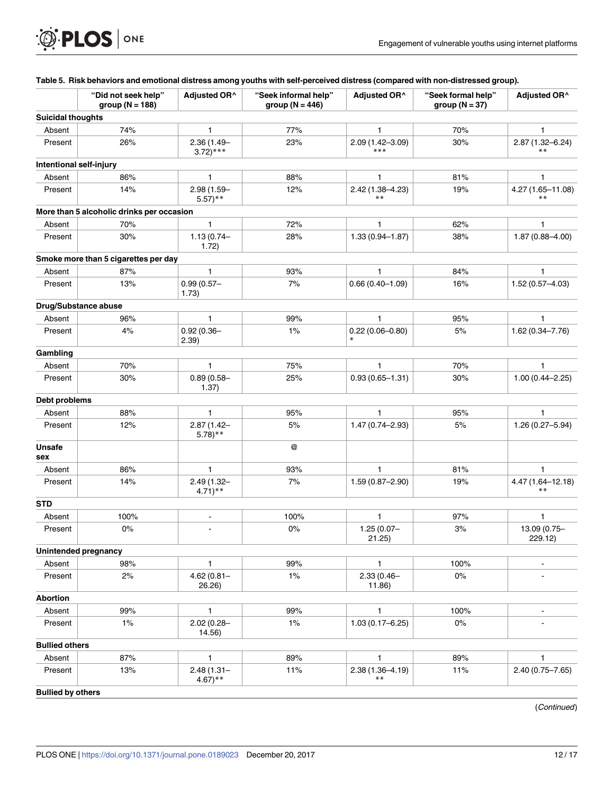<span id="page-11-0"></span>

|                          | "Did not seek help"<br>group ( $N = 188$ ) | Adjusted OR <sup>^</sup>              | "Seek informal help"<br>group ( $N = 446$ ) | Adjusted OR <sup>^</sup>  | "Seek formal help"<br>group ( $N = 37$ ) | Adjusted OR^              |
|--------------------------|--------------------------------------------|---------------------------------------|---------------------------------------------|---------------------------|------------------------------------------|---------------------------|
| <b>Suicidal thoughts</b> |                                            |                                       |                                             |                           |                                          |                           |
| Absent                   | 74%                                        | 1                                     | 77%                                         | $\mathbf{1}$              | 70%                                      | $\mathbf{1}$              |
| Present                  | 26%                                        | $2.36(1.49 -$<br>$(3.72)$ ***         | 23%                                         | 2.09 (1.42-3.09)<br>***   | 30%                                      | $2.87(1.32 - 6.24)$<br>** |
| Intentional self-injury  |                                            |                                       |                                             |                           |                                          |                           |
| Absent                   | 86%                                        | 1                                     | 88%                                         | 1                         | 81%                                      | 1                         |
| Present                  | 14%                                        | $2.98(1.59 -$<br>$5.57$ <sup>**</sup> | 12%                                         | 2.42 (1.38-4.23)<br>$***$ | 19%                                      | 4.27 (1.65-11.08)<br>**   |
|                          | More than 5 alcoholic drinks per occasion  |                                       |                                             |                           |                                          |                           |
| Absent                   | 70%                                        | 1                                     | 72%                                         | 1                         | 62%                                      | 1                         |
| Present                  | 30%                                        | $1.13(0.74 -$<br>1.72)                | 28%                                         | $1.33(0.94 - 1.87)$       | 38%                                      | $1.87(0.88 - 4.00)$       |
|                          | Smoke more than 5 cigarettes per day       |                                       |                                             |                           |                                          |                           |
| Absent                   | 87%                                        | 1                                     | 93%                                         | $\mathbf{1}$              | 84%                                      | 1                         |
| Present                  | 13%                                        | $0.99(0.57 -$<br>1.73)                | 7%                                          | $0.66(0.40 - 1.09)$       | 16%                                      | $1.52(0.57 - 4.03)$       |
|                          | Drug/Substance abuse                       |                                       |                                             |                           |                                          |                           |
| Absent                   | 96%                                        | 1                                     | 99%                                         | $\mathbf{1}$              | 95%                                      | $\mathbf{1}$              |
| Present                  | 4%                                         | $0.92(0.36 -$<br>2.39)                | 1%                                          | $0.22(0.06 - 0.80)$       | 5%                                       | $1.62(0.34 - 7.76)$       |
| Gambling                 |                                            |                                       |                                             |                           |                                          |                           |
| Absent                   | 70%                                        | 1                                     | 75%                                         | $\mathbf{1}$              | 70%                                      | 1                         |
| Present                  | 30%                                        | $0.89(0.58 -$<br>1.37)                | 25%                                         | $0.93(0.65 - 1.31)$       | 30%                                      | $1.00(0.44 - 2.25)$       |
| Debt problems            |                                            |                                       |                                             |                           |                                          |                           |
| Absent                   | 88%                                        | 1                                     | 95%                                         | $\mathbf{1}$              | 95%                                      | $\mathbf{1}$              |
| Present                  | 12%                                        | $2.87(1.42 -$<br>$5.78$ <sup>**</sup> | 5%                                          | 1.47 (0.74-2.93)          | 5%                                       | $1.26(0.27 - 5.94)$       |
| Unsafe<br>sex            |                                            |                                       | $^\copyright$                               |                           |                                          |                           |
| Absent                   | 86%                                        | 1                                     | 93%                                         | $\mathbf{1}$              | 81%                                      | 1                         |
| Present                  | 14%                                        | $2.49(1.32 -$<br>$4.71$ <sup>**</sup> | 7%                                          | 1.59 (0.87-2.90)          | 19%                                      | 4.47 (1.64-12.18)<br>**   |
| <b>STD</b>               |                                            |                                       |                                             |                           |                                          |                           |
| Absent                   | 100%                                       | $\blacksquare$                        | 100%                                        | $\mathbf{1}$              | 97%                                      | 1                         |
| Present                  | 0%                                         |                                       | 0%                                          | $1.25(0.07 -$<br>21.25)   | 3%                                       | 13.09 (0.75-<br>229.12)   |
| Unintended pregnancy     |                                            |                                       |                                             |                           |                                          |                           |
| Absent                   | 98%                                        | 1                                     | 99%                                         | $\mathbf{1}$              | 100%                                     |                           |
| Present                  | 2%                                         | $4.62(0.81 -$<br>26.26)               | 1%                                          | $2.33(0.46 -$<br>11.86)   | $0\%$                                    |                           |
| <b>Abortion</b>          |                                            |                                       |                                             |                           |                                          |                           |
| Absent                   | 99%                                        | 1                                     | 99%                                         | 1                         | 100%                                     |                           |
| Present                  | 1%                                         | $2.02(0.28 -$<br>14.56)               | 1%                                          | $1.03(0.17 - 6.25)$       | $0\%$                                    |                           |
| <b>Bullied others</b>    |                                            |                                       |                                             |                           |                                          |                           |
| Absent                   | 87%                                        | 1                                     | 89%                                         | 1                         | 89%                                      | 1                         |
| Present                  | 13%                                        | $2.48(1.31 -$<br>$4.67$ <sup>**</sup> | 11%                                         | 2.38 (1.36-4.19)<br>$***$ | 11%                                      | 2.40 (0.75-7.65)          |
| <b>Bullied by others</b> |                                            |                                       |                                             |                           |                                          |                           |

#### [Table](#page-8-0) 5. Risk behaviors and emotional distress among youths with self-perceived distress (compared with non-distressed group).

(Continued)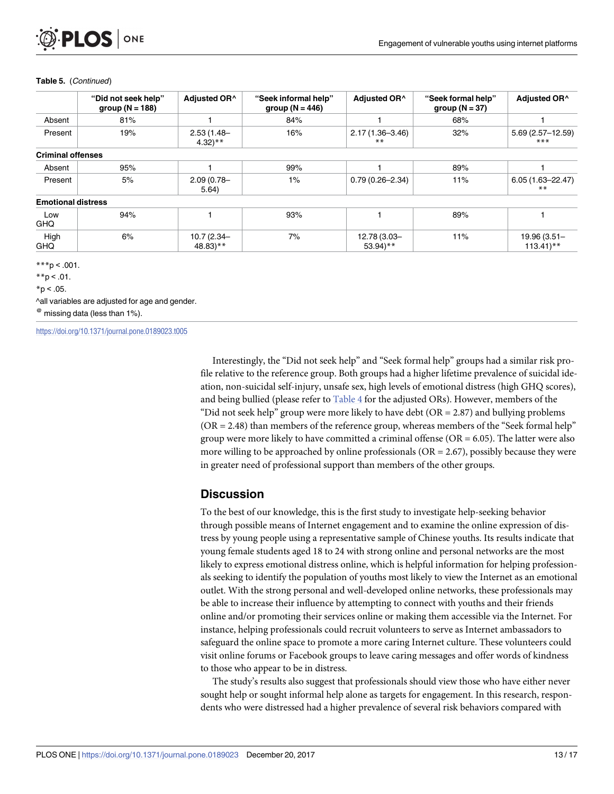#### <span id="page-12-0"></span>**Table 5.** (Continued)

|                           | "Did not seek help"<br>group ( $N = 188$ ) | Adjusted OR <sup>^</sup>               | "Seek informal help"<br>group $(N = 446)$ | Adjusted OR <sup>^</sup>              | "Seek formal help"<br>group ( $N = 37$ ) | Adjusted OR <sup>^</sup>               |
|---------------------------|--------------------------------------------|----------------------------------------|-------------------------------------------|---------------------------------------|------------------------------------------|----------------------------------------|
| Absent                    | 81%                                        |                                        | 84%                                       |                                       | 68%                                      |                                        |
| Present                   | 19%                                        | $2.53(1.48 -$<br>$4.32$ <sup>**</sup>  | 16%                                       | $2.17(1.36 - 3.46)$<br>$***$          | 32%                                      | $5.69(2.57 - 12.59)$<br>$***$          |
| <b>Criminal offenses</b>  |                                            |                                        |                                           |                                       |                                          |                                        |
| Absent                    | 95%                                        |                                        | 99%                                       |                                       | 89%                                      |                                        |
| Present                   | 5%                                         | $2.09(0.78 -$<br>5.64)                 | $1\%$                                     | $0.79(0.26 - 2.34)$                   | 11%                                      | $6.05(1.63 - 22.47)$<br>$***$          |
| <b>Emotional distress</b> |                                            |                                        |                                           |                                       |                                          |                                        |
| Low<br>GHQ                | 94%                                        |                                        | 93%                                       |                                       | 89%                                      |                                        |
| High<br><b>GHQ</b>        | 6%                                         | $10.7(2.34 -$<br>$48.83$ <sup>**</sup> | 7%                                        | 12.78 (3.03-<br>$53.94$ <sup>**</sup> | 11%                                      | 19.96 (3.51-<br>$113.41$ <sup>**</sup> |

 $***p < .001$ .

 $*$ <sub>p</sub> < .01.

 $*<sub>p</sub> < .05$ .

^all variables are adjusted for age and gender.

 $^\circledR$  missing data (less than 1%).

<https://doi.org/10.1371/journal.pone.0189023.t005>

Interestingly, the "Did not seek help" and "Seek formal help" groups had a similar risk profile relative to the reference group. Both groups had a higher lifetime prevalence of suicidal ideation, non-suicidal self-injury, unsafe sex, high levels of emotional distress (high GHQ scores), and being bullied (please refer to [Table](#page-9-0) 4 for the adjusted ORs). However, members of the "Did not seek help" group were more likely to have debt ( $OR = 2.87$ ) and bullying problems  $(OR = 2.48)$  than members of the reference group, whereas members of the "Seek formal help" group were more likely to have committed a criminal offense ( $OR = 6.05$ ). The latter were also more willing to be approached by online professionals ( $OR = 2.67$ ), possibly because they were in greater need of professional support than members of the other groups.

## **Discussion**

To the best of our knowledge, this is the first study to investigate help-seeking behavior through possible means of Internet engagement and to examine the online expression of distress by young people using a representative sample of Chinese youths. Its results indicate that young female students aged 18 to 24 with strong online and personal networks are the most likely to express emotional distress online, which is helpful information for helping professionals seeking to identify the population of youths most likely to view the Internet as an emotional outlet. With the strong personal and well-developed online networks, these professionals may be able to increase their influence by attempting to connect with youths and their friends online and/or promoting their services online or making them accessible via the Internet. For instance, helping professionals could recruit volunteers to serve as Internet ambassadors to safeguard the online space to promote a more caring Internet culture. These volunteers could visit online forums or Facebook groups to leave caring messages and offer words of kindness to those who appear to be in distress.

The study's results also suggest that professionals should view those who have either never sought help or sought informal help alone as targets for engagement. In this research, respondents who were distressed had a higher prevalence of several risk behaviors compared with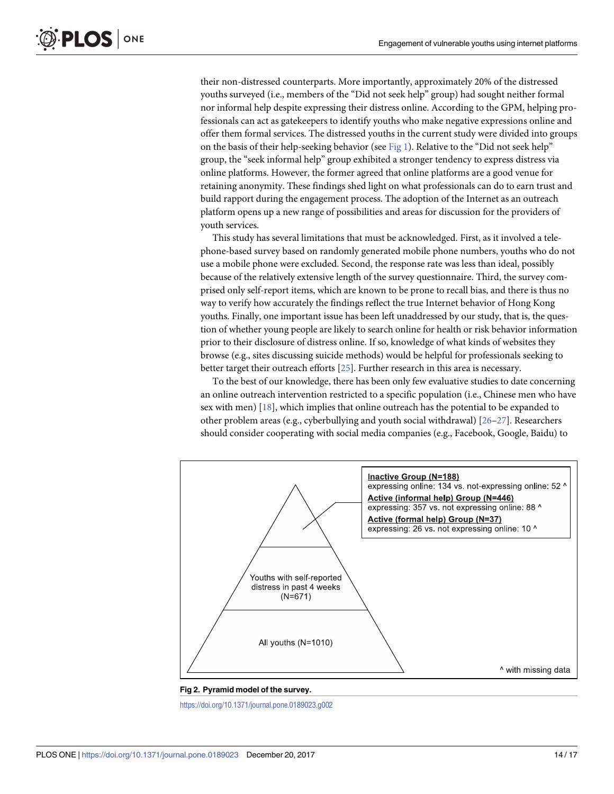<span id="page-13-0"></span>their non-distressed counterparts. More importantly, approximately 20% of the distressed youths surveyed (i.e., members of the "Did not seek help" group) had sought neither formal nor informal help despite expressing their distress online. According to the GPM, helping professionals can act as gatekeepers to identify youths who make negative expressions online and offer them formal services. The distressed youths in the current study were divided into groups on the basis of their help-seeking behavior (see [Fig](#page-3-0) 1). Relative to the "Did not seek help" group, the "seek informal help" group exhibited a stronger tendency to express distress via online platforms. However, the former agreed that online platforms are a good venue for retaining anonymity. These findings shed light on what professionals can do to earn trust and build rapport during the engagement process. The adoption of the Internet as an outreach platform opens up a new range of possibilities and areas for discussion for the providers of youth services.

This study has several limitations that must be acknowledged. First, as it involved a telephone-based survey based on randomly generated mobile phone numbers, youths who do not use a mobile phone were excluded. Second, the response rate was less than ideal, possibly because of the relatively extensive length of the survey questionnaire. Third, the survey comprised only self-report items, which are known to be prone to recall bias, and there is thus no way to verify how accurately the findings reflect the true Internet behavior of Hong Kong youths. Finally, one important issue has been left unaddressed by our study, that is, the question of whether young people are likely to search online for health or risk behavior information prior to their disclosure of distress online. If so, knowledge of what kinds of websites they browse (e.g., sites discussing suicide methods) would be helpful for professionals seeking to better target their outreach efforts [[25](#page-15-0)]. Further research in this area is necessary.

To the best of our knowledge, there has been only few evaluative studies to date concerning an online outreach intervention restricted to a specific population (i.e., Chinese men who have sex with men) [[18](#page-15-0)], which implies that online outreach has the potential to be expanded to other problem areas (e.g., cyberbullying and youth social withdrawal) [[26](#page-15-0)–[27](#page-15-0)]. Researchers should consider cooperating with social media companies (e.g., Facebook, Google, Baidu) to



**[Fig](#page-14-0) 2. Pyramid model of the survey.**

<https://doi.org/10.1371/journal.pone.0189023.g002>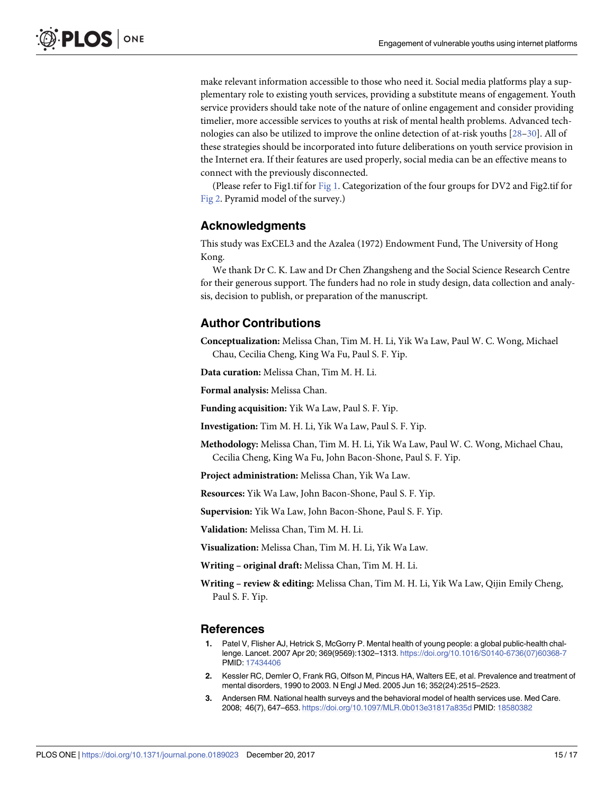<span id="page-14-0"></span>make relevant information accessible to those who need it. Social media platforms play a supplementary role to existing youth services, providing a substitute means of engagement. Youth service providers should take note of the nature of online engagement and consider providing timelier, more accessible services to youths at risk of mental health problems. Advanced technologies can also be utilized to improve the online detection of at-risk youths [\[28–30](#page-16-0)]. All of these strategies should be incorporated into future deliberations on youth service provision in the Internet era. If their features are used properly, social media can be an effective means to connect with the previously disconnected.

(Please refer to [Fig](#page-3-0)1.tif for Fig 1. Categorization of the four groups for DV2 and Fig2.tif for [Fig](#page-13-0) 2. Pyramid model of the survey.)

## **Acknowledgments**

This study was ExCEL3 and the Azalea (1972) Endowment Fund, The University of Hong Kong.

We thank Dr C. K. Law and Dr Chen Zhangsheng and the Social Science Research Centre for their generous support. The funders had no role in study design, data collection and analysis, decision to publish, or preparation of the manuscript.

## **Author Contributions**

**Conceptualization:** Melissa Chan, Tim M. H. Li, Yik Wa Law, Paul W. C. Wong, Michael Chau, Cecilia Cheng, King Wa Fu, Paul S. F. Yip.

**Data curation:** Melissa Chan, Tim M. H. Li.

**Formal analysis:** Melissa Chan.

**Funding acquisition:** Yik Wa Law, Paul S. F. Yip.

**Investigation:** Tim M. H. Li, Yik Wa Law, Paul S. F. Yip.

**Methodology:** Melissa Chan, Tim M. H. Li, Yik Wa Law, Paul W. C. Wong, Michael Chau, Cecilia Cheng, King Wa Fu, John Bacon-Shone, Paul S. F. Yip.

**Project administration:** Melissa Chan, Yik Wa Law.

**Resources:** Yik Wa Law, John Bacon-Shone, Paul S. F. Yip.

**Supervision:** Yik Wa Law, John Bacon-Shone, Paul S. F. Yip.

**Validation:** Melissa Chan, Tim M. H. Li.

**Visualization:** Melissa Chan, Tim M. H. Li, Yik Wa Law.

**Writing – original draft:** Melissa Chan, Tim M. H. Li.

**Writing – review & editing:** Melissa Chan, Tim M. H. Li, Yik Wa Law, Qijin Emily Cheng, Paul S. F. Yip.

#### **References**

- **[1](#page-1-0).** Patel V, Flisher AJ, Hetrick S, McGorry P. Mental health of young people: a global public-health challenge. Lancet. 2007 Apr 20; 369(9569):1302–1313. [https://doi.org/10.1016/S0140-6736\(07\)60368-7](https://doi.org/10.1016/S0140-6736(07)60368-7) PMID: [17434406](http://www.ncbi.nlm.nih.gov/pubmed/17434406)
- **[2](#page-1-0).** Kessler RC, Demler O, Frank RG, Olfson M, Pincus HA, Walters EE, et al. Prevalence and treatment of mental disorders, 1990 to 2003. N Engl J Med. 2005 Jun 16; 352(24):2515–2523.
- **[3](#page-1-0).** Andersen RM. National health surveys and the behavioral model of health services use. Med Care. 2008; 46(7), 647–653. <https://doi.org/10.1097/MLR.0b013e31817a835d> PMID: [18580382](http://www.ncbi.nlm.nih.gov/pubmed/18580382)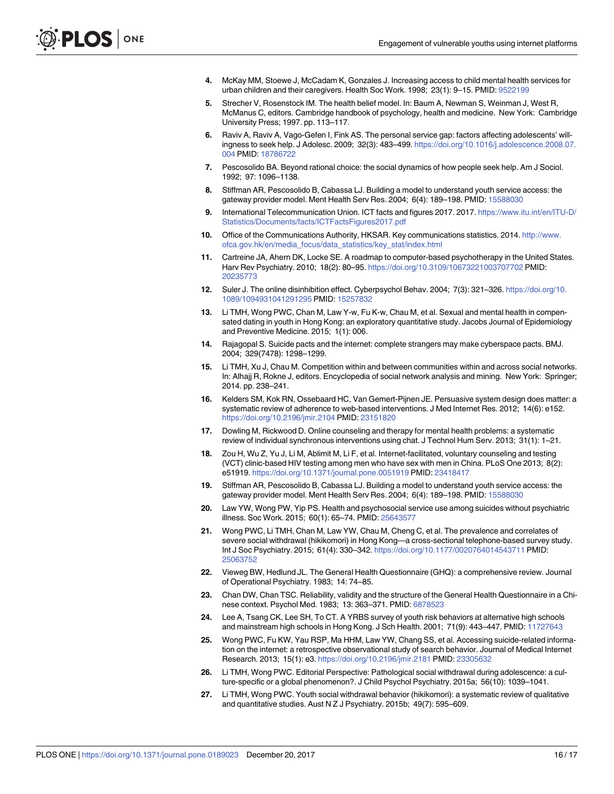- <span id="page-15-0"></span>**[4](#page-1-0).** McKay MM, Stoewe J, McCadam K, Gonzales J. Increasing access to child mental health services for urban children and their caregivers. Health Soc Work. 1998; 23(1): 9–15. PMID: [9522199](http://www.ncbi.nlm.nih.gov/pubmed/9522199)
- **[5](#page-1-0).** Strecher V, Rosenstock IM. The health belief model. In: Baum A, Newman S, Weinman J, West R, McManus C, editors. Cambridge handbook of psychology, health and medicine. New York: Cambridge University Press; 1997. pp. 113–117.
- **[6](#page-1-0).** Raviv A, Raviv A, Vago-Gefen I, Fink AS. The personal service gap: factors affecting adolescents' willingness to seek help. J Adolesc. 2009; 32(3): 483–499. [https://doi.org/10.1016/j.adolescence.2008.07.](https://doi.org/10.1016/j.adolescence.2008.07.004) [004](https://doi.org/10.1016/j.adolescence.2008.07.004) PMID: [18786722](http://www.ncbi.nlm.nih.gov/pubmed/18786722)
- **[7](#page-1-0).** Pescosolido BA. Beyond rational choice: the social dynamics of how people seek help. Am J Sociol. 1992; 97: 1096–1138.
- **[8](#page-1-0).** Stiffman AR, Pescosolido B, Cabassa LJ. Building a model to understand youth service access: the gateway provider model. Ment Health Serv Res. 2004; 6(4): 189–198. PMID: [15588030](http://www.ncbi.nlm.nih.gov/pubmed/15588030)
- **[9](#page-1-0).** International Telecommunication Union. ICT facts and figures 2017. 2017. [https://www.itu.int/en/ITU-D/](https://www.itu.int/en/ITU-D/Statistics/Documents/facts/ICTFactsFigures2017.pdf) [Statistics/Documents/facts/ICTFactsFigures2017.pdf](https://www.itu.int/en/ITU-D/Statistics/Documents/facts/ICTFactsFigures2017.pdf)
- **[10](#page-1-0).** Office of the Communications Authority, HKSAR. Key communications statistics. 2014. [http://www.](http://www.ofca.gov.hk/en/media_focus/data_statistics/key_stat/index.html) [ofca.gov.hk/en/media\\_focus/data\\_statistics/key\\_stat/index.html](http://www.ofca.gov.hk/en/media_focus/data_statistics/key_stat/index.html)
- **[11](#page-1-0).** Cartreine JA, Ahern DK, Locke SE. A roadmap to computer-based psychotherapy in the United States. Harv Rev Psychiatry. 2010; 18(2): 80–95. <https://doi.org/10.3109/10673221003707702> PMID: [20235773](http://www.ncbi.nlm.nih.gov/pubmed/20235773)
- **[12](#page-1-0).** Suler J. The online disinhibition effect. Cyberpsychol Behav. 2004; 7(3): 321–326. [https://doi.org/10.](https://doi.org/10.1089/1094931041291295) [1089/1094931041291295](https://doi.org/10.1089/1094931041291295) PMID: [15257832](http://www.ncbi.nlm.nih.gov/pubmed/15257832)
- **[13](#page-1-0).** Li TMH, Wong PWC, Chan M, Law Y-w, Fu K-w, Chau M, et al. Sexual and mental health in compensated dating in youth in Hong Kong: an exploratory quantitative study. Jacobs Journal of Epidemiology and Preventive Medicine. 2015; 1(1): 006.
- **[14](#page-1-0).** Rajagopal S. Suicide pacts and the internet: complete strangers may make cyberspace pacts. BMJ. 2004; 329(7478): 1298–1299.
- **[15](#page-2-0).** Li TMH, Xu J, Chau M. Competition within and between communities within and across social networks. In: Alhajj R, Rokne J, editors. Encyclopedia of social network analysis and mining. New York: Springer; 2014. pp. 238–241.
- **[16](#page-2-0).** Kelders SM, Kok RN, Ossebaard HC, Van Gemert-Pijnen JE. Persuasive system design does matter: a systematic review of adherence to web-based interventions. J Med Internet Res. 2012; 14(6): e152. <https://doi.org/10.2196/jmir.2104> PMID: [23151820](http://www.ncbi.nlm.nih.gov/pubmed/23151820)
- **[17](#page-2-0).** Dowling M, Rickwood D. Online counseling and therapy for mental health problems: a systematic review of individual synchronous interventions using chat. J Technol Hum Serv. 2013; 31(1): 1–21.
- **[18](#page-2-0).** Zou H, Wu Z, Yu J, Li M, Ablimit M, Li F, et al. Internet-facilitated, voluntary counseling and testing (VCT) clinic-based HIV testing among men who have sex with men in China. PLoS One 2013; 8(2): e51919. <https://doi.org/10.1371/journal.pone.0051919> PMID: [23418417](http://www.ncbi.nlm.nih.gov/pubmed/23418417)
- **[19](#page-2-0).** Stiffman AR, Pescosolido B, Cabassa LJ. Building a model to understand youth service access: the gateway provider model. Ment Health Serv Res. 2004; 6(4): 189–198. PMID: [15588030](http://www.ncbi.nlm.nih.gov/pubmed/15588030)
- **[20](#page-2-0).** Law YW, Wong PW, Yip PS. Health and psychosocial service use among suicides without psychiatric illness. Soc Work. 2015; 60(1): 65–74. PMID: [25643577](http://www.ncbi.nlm.nih.gov/pubmed/25643577)
- **[21](#page-2-0).** Wong PWC, Li TMH, Chan M, Law YW, Chau M, Cheng C, et al. The prevalence and correlates of severe social withdrawal (hikikomori) in Hong Kong—a cross-sectional telephone-based survey study. Int J Soc Psychiatry. 2015; 61(4): 330–342. <https://doi.org/10.1177/0020764014543711> PMID: [25063752](http://www.ncbi.nlm.nih.gov/pubmed/25063752)
- **[22](#page-3-0).** Vieweg BW, Hedlund JL. The General Health Questionnaire (GHQ): a comprehensive review. Journal of Operational Psychiatry. 1983; 14: 74–85.
- **[23](#page-3-0).** Chan DW, Chan TSC. Reliability, validity and the structure of the General Health Questionnaire in a Chinese context. Psychol Med. 1983; 13: 363–371. PMID: [6878523](http://www.ncbi.nlm.nih.gov/pubmed/6878523)
- **[24](#page-3-0).** Lee A, Tsang CK, Lee SH, To CT. A YRBS survey of youth risk behaviors at alternative high schools and mainstream high schools in Hong Kong. J Sch Health. 2001; 71(9): 443–447. PMID: [11727643](http://www.ncbi.nlm.nih.gov/pubmed/11727643)
- **[25](#page-13-0).** Wong PWC, Fu KW, Yau RSP, Ma HHM, Law YW, Chang SS, et al. Accessing suicide-related information on the internet: a retrospective observational study of search behavior. Journal of Medical Internet Research. 2013; 15(1): e3. <https://doi.org/10.2196/jmir.2181> PMID: [23305632](http://www.ncbi.nlm.nih.gov/pubmed/23305632)
- **[26](#page-13-0).** Li TMH, Wong PWC. Editorial Perspective: Pathological social withdrawal during adolescence: a culture-specific or a global phenomenon?. J Child Psychol Psychiatry. 2015a; 56(10): 1039–1041.
- **[27](#page-13-0).** Li TMH, Wong PWC. Youth social withdrawal behavior (hikikomori): a systematic review of qualitative and quantitative studies. Aust N Z J Psychiatry. 2015b; 49(7): 595–609.